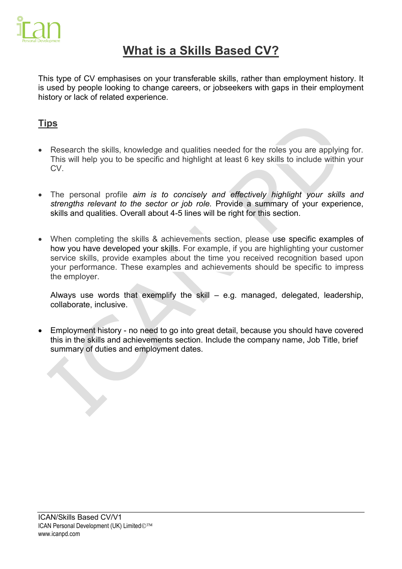

# **What is a Skills Based CV?**

This type of CV emphasises on your [transferable skills,](https://www.reed.co.uk/career-advice/what-are-transferable-skills/) rather than employment history. It is used by people looking to change careers, or jobseekers with gaps in their employment history or lack of related experience.

### **Tips**

- Research the skills, knowledge and qualities needed for the roles you are applying for. This will help you to be specific and highlight at least 6 key skills to include within your CV.
- The personal profile *aim is to concisely and effectively highlight your skills and strengths relevant to the sector or job role.* Provide a summary of your experience, skills and qualities. Overall about 4-5 lines will be right for this section.
- When completing the skills & achievements section, please use specific examples of how you have developed your skills. For example, if you are highlighting your customer service skills, provide examples about the time you received recognition based upon your performance. These examples and achievements should be specific to impress the employer.

Always use words that exemplify the skill – e.g. managed, delegated, leadership, collaborate, inclusive.

 Employment history - no need to go into great detail, because you should have covered this in the skills and achievements section. Include the company name, Job Title, brief summary of duties and employment dates.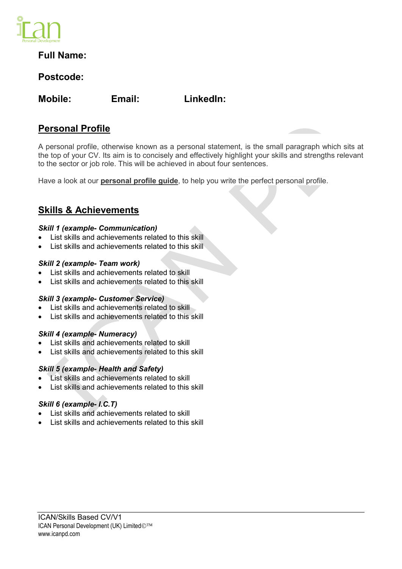

### **Full Name:**

### **Postcode:**

**Mobile: Email: LinkedIn:** 

### **Personal Profile**

A personal profile, otherwise known as a personal statement, is the small paragraph which sits at the top of your CV. Its aim is to concisely and effectively highlight your skills and strengths relevant to the sector or job role. This will be achieved in about four sentences.

Have a look at our **personal profile guide**, to help you write the perfect personal profile.

### **Skills & Achievements**

#### *Skill 1 (example- Communication)*

- List skills and achievements related to this skill
- List skills and achievements related to this skill

#### *Skill 2 (example- Team work)*

- List skills and achievements related to skill
- List skills and achievements related to this skill

#### *Skill 3 (example- Customer Service)*

- List skills and achievements related to skill
- List skills and achievements related to this skill

#### *Skill 4 (example- Numeracy)*

- List skills and achievements related to skill
- List skills and achievements related to this skill

#### *Skill 5 (example- Health and Safety)*

- List skills and achievements related to skill
- List skills and achievements related to this skill

#### *Skill 6 (example- I.C.T)*

- List skills and achievements related to skill
- List skills and achievements related to this skill